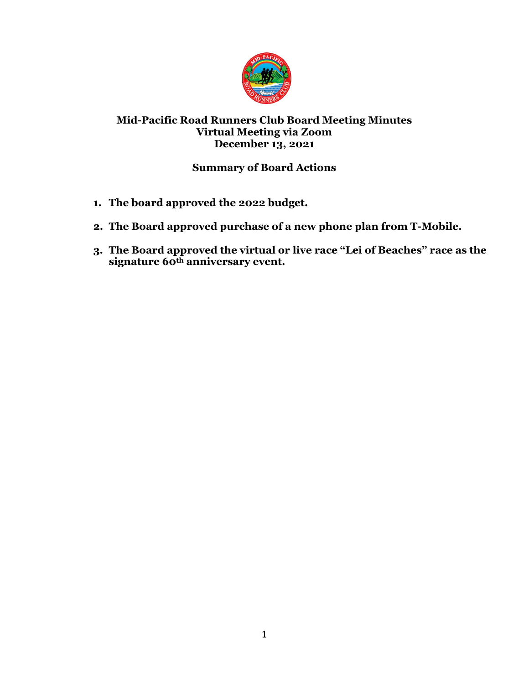

## **Mid-Pacific Road Runners Club Board Meeting Minutes Virtual Meeting via Zoom December 13, 2021**

# **Summary of Board Actions**

- **1. The board approved the 2022 budget.**
- **2. The Board approved purchase of a new phone plan from T-Mobile.**
- **3. The Board approved the virtual or live race "Lei of Beaches" race as the signature 60th anniversary event.**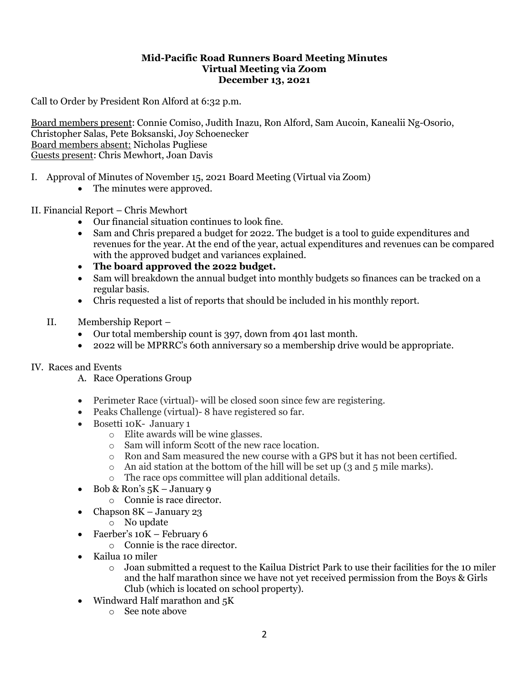#### **Mid-Pacific Road Runners Board Meeting Minutes Virtual Meeting via Zoom December 13, 2021**

Call to Order by President Ron Alford at 6:32 p.m.

Board members present: Connie Comiso, Judith Inazu, Ron Alford, Sam Aucoin, Kanealii Ng-Osorio, Christopher Salas, Pete Boksanski, Joy Schoenecker Board members absent: Nicholas Pugliese Guests present: Chris Mewhort, Joan Davis

- I. Approval of Minutes of November 15, 2021 Board Meeting (Virtual via Zoom)
	- The minutes were approved.
- II. Financial Report Chris Mewhort
	- Our financial situation continues to look fine.
	- Sam and Chris prepared a budget for 2022. The budget is a tool to guide expenditures and revenues for the year. At the end of the year, actual expenditures and revenues can be compared with the approved budget and variances explained.
	- **The board approved the 2022 budget.**
	- Sam will breakdown the annual budget into monthly budgets so finances can be tracked on a regular basis.
	- Chris requested a list of reports that should be included in his monthly report.
	- II. Membership Report
		- Our total membership count is 397, down from 401 last month.
		- 2022 will be MPRRC's 60th anniversary so a membership drive would be appropriate.

### IV. Races and Events

- A. Race Operations Group
- Perimeter Race (virtual)- will be closed soon since few are registering.
- Peaks Challenge (virtual) 8 have registered so far.
- Bosetti 10K- January 1
	- o Elite awards will be wine glasses.
	- o Sam will inform Scott of the new race location.
	- o Ron and Sam measured the new course with a GPS but it has not been certified.
	- $\circ$  An aid station at the bottom of the hill will be set up (3 and 5 mile marks).
	- o The race ops committee will plan additional details.
- Bob & Ron's  $5K January9$ 
	- o Connie is race director.
- Chapson 8K January 23
	- o No update
- Faerber's 10K February 6
	- o Connie is the race director.
- Kailua 10 miler
	- $\circ$  Joan submitted a request to the Kailua District Park to use their facilities for the 10 miler and the half marathon since we have not yet received permission from the Boys & Girls Club (which is located on school property).
- Windward Half marathon and 5K
	- o See note above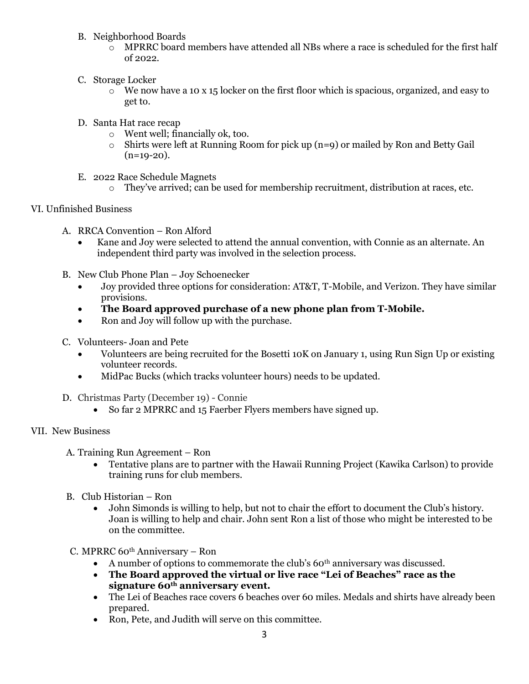- B. Neighborhood Boards
	- $\circ$  MPRRC board members have attended all NBs where a race is scheduled for the first half of 2022.
- C. Storage Locker
	- o We now have a 10 x 15 locker on the first floor which is spacious, organized, and easy to get to.
- D. Santa Hat race recap
	- o Went well; financially ok, too.
	- $\circ$  Shirts were left at Running Room for pick up (n=9) or mailed by Ron and Betty Gail  $(n=19-20)$ .
- E. 2022 Race Schedule Magnets
	- o They've arrived; can be used for membership recruitment, distribution at races, etc.

### VI. Unfinished Business

- A. RRCA Convention Ron Alford
	- Kane and Joy were selected to attend the annual convention, with Connie as an alternate. An independent third party was involved in the selection process.
- B. New Club Phone Plan Joy Schoenecker
	- Joy provided three options for consideration: AT&T, T-Mobile, and Verizon. They have similar provisions.
	- **The Board approved purchase of a new phone plan from T-Mobile.**
	- Ron and Joy will follow up with the purchase.
- C. Volunteers- Joan and Pete
	- Volunteers are being recruited for the Bosetti 10K on January 1, using Run Sign Up or existing volunteer records.
	- MidPac Bucks (which tracks volunteer hours) needs to be updated.
- D. Christmas Party (December 19) Connie
	- So far 2 MPRRC and 15 Faerber Flyers members have signed up.

### VII. New Business

- A. Training Run Agreement Ron
	- Tentative plans are to partner with the Hawaii Running Project (Kawika Carlson) to provide training runs for club members.
- B. Club Historian Ron
	- John Simonds is willing to help, but not to chair the effort to document the Club's history. Joan is willing to help and chair. John sent Ron a list of those who might be interested to be on the committee.
- C. MPRRC 60<sup>th</sup> Anniversary Ron
	- A number of options to commemorate the club's  $60<sup>th</sup>$  anniversary was discussed.
	- **The Board approved the virtual or live race "Lei of Beaches" race as the signature 60th anniversary event.**
	- The Lei of Beaches race covers 6 beaches over 60 miles. Medals and shirts have already been prepared.
	- Ron, Pete, and Judith will serve on this committee.